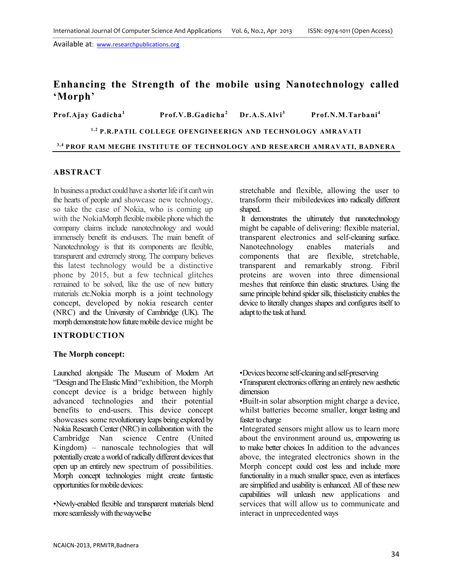# **Enhancing the Strength of the mobile using Nanotechnology called 'Morph'**

**Prof.Ajay Gadicha<sup>1</sup> Prof.V.B.Gadicha<sup>2</sup> Dr.A.S.Alvi<sup>3</sup>Prof.N.M.Tarbani<sup>4</sup>**

<sup>1,2</sup> P.R.PATIL COLLEGE OFENGINEERIGN AND TECHNOLOGY AMRAVATI

<sup>3,4</sup> PROF RAM MEGHE INSTITUTE OF TECHNOLOGY AND RESEARCH AMRAVATI, BADNERA

## **ABSTRACT**

In business a product could have a shorter life if it can't win the hearts of people and showcase new technology, so take the case of Nokia, who is coming up with the NokiaMorph flexible mobile phone which the company claims include nanotechnology and would immensely benefit its end-users. The main benefit of Nanotechnology is that its components are flexible, transparent and extremely strong. The company believes this latest technology would be a distinctive phone by 2015, but a few technical glitches remained to be solved, like the use of new battery materials etc.Nokia morph is a joint technology concept, developed by nokia research center (NRC) and the University of Cambridge (UK). The morph demonstrate how future mobile device might be

## **INTRODUCTION**

## **The Morph concept:**

Launched alongside The Museum of Modern Art "Design and The Elastic Mind "exhibition, the Morph concept device is a bridge between highly advanced technologies and their potential benefits to end-users. This device concept showcases some revolutionary leaps being explored by Nokia Research Center (NRC) in collaboration with the Cambridge Nan science Centre (United Kingdom) – nanoscale technologies that will potentially create a world of radically different devices that open up an entirely new spectrum of possibilities. Morph concept technologies might create fantastic opportunities for mobile devices:

•Newly-enabled flexible and transparent materials blend more seamlessly with the way we live

stretchable and flexible, allowing the user to transform their mibiledevices into radically different shaped.

 It demonstrates the ultimately that nanotechnology might be capable of delivering: flexible material, transparent electronics and self-cleaning surface. Nanotechnology enables materials and components that are flexible, stretchable, transparent and remarkably strong. Fibril proteins are woven into three dimensional meshes that reinforce thin elastic structures. Using the same principle behind spider silk, thiselasticity enables the device to literally changes shapes and configures itself to adapt to the task at hand.

•Devices become self-cleaning and self-preserving

•Transparent electronics offering an entirely new aesthetic dimension

•Built-in solar absorption might charge a device, whilst batteries become smaller, longer lasting and faster to charge

•Integrated sensors might allow us to learn more about the environment around us, empowering us to make better choices In addition to the advances above, the integrated electronics shown in the Morph concept could cost less and include more functionality in a much smaller space, even as interfaces are simplified and usability is enhanced. All of these new capabilities will unleash new applications and services that will allow us to communicate and interact in unprecedented ways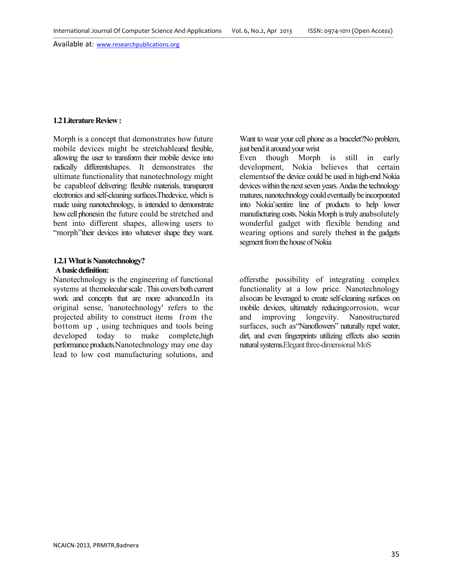#### **1.2 Literature Review :**

Morph is a concept that demonstrates how future mobile devices might be stretchableand flexible, allowing the user to transform their mobile device into radically differentshapes. It demonstrates the ultimate functionality that nanotechnology might be capableof delivering: flexible materials, transparent electronics and self-cleaning surfaces.Thedevice, which is made using nanotechnology, is intended to demonstrate how cell phonesin the future could be stretched and bent into different shapes, allowing users to "morph" their devices into whatever shape they want.

#### **1.2.1 What is Nanotechnology? A basic definition:**

Nanotechnology is the engineering of functional systems at themolecular scale . This covers both current work and concepts that are more advanced.In its original sense, 'nanotechnology' refers to the projected ability to construct items from the bottom up , using techniques and tools being developed today to make complete, high performance products.Nanotechnology may one day lead to low cost manufacturing solutions, and

Want to wear your cell phone as a bracelet?No problem, just bend it around your wrist

Even though Morph is still in early development, Nokia believes that certain elementsof the device could be used in high-end Nokia devices within the next seven years. Andas the technology matures, nanotechnology could eventually be incorporated into Nokia'sentire line of products to help lower manufacturing costs. Nokia Morph is truly anabsolutely wonderful gadget with flexible bending and wearing options and surely thebest in the gadgets segment from the house of Nokia

offersthe possibility of integrating complex functionality at a low price. Nanotechnology alsocan be leveraged to create self-cleaning surfaces on mobile devices, ultimately reducingcorrosion, wear and improving longevity. Nanostructured surfaces, such as "Nanoflowers" naturally repel water, dirt, and even fingerprints utilizing effects also seenin natural systems.Elegant three-dimensional MoS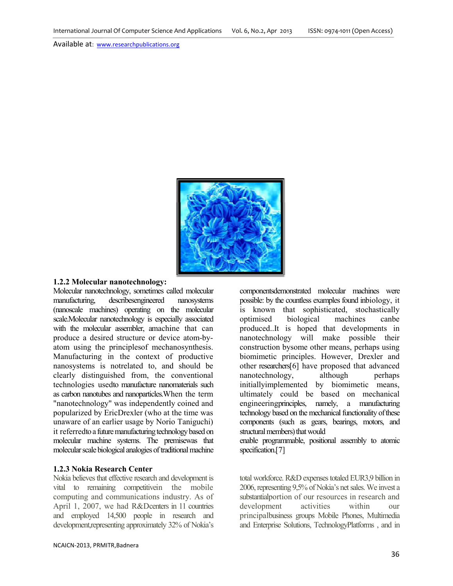

## **1.2.2 Molecular nanotechnology:**

Molecular nanotechnology, sometimes called molecular manufacturing, describesengineered nanosystems (nanoscale machines) operating on the molecular scale.Molecular nanotechnology is especially associated with the molecular assembler, amachine that can produce a desired structure or device atom atom using the principlesof mechanosynthesis. Manufacturing in the context of productive nanosystems is notrelated to, and clearly distinguished from, the conventional technologies usedto manufacture nanomaterials such as carbon nanotubes and nanoparticles.When the term "nanotechnology" was independently coined and popularized by EricDrexler (who at the time was unaware of an earlier usage by Norio Taniguchi) it referredto a future manufacturing technology based on molecular machine systems. The premisewas that molecular scale biological analogies of traditional machine (nanoscale machines) operating on the molecular<br>scale.Molecular nanotechnology is especially associated<br>with the molecular assembler, amachine that can<br>produce a desired structure or device atom-byusing the principlesof mechanosynthesis.<br>
facturing in the context of productive<br>
ystems is notrelated to, and should be coular nanotechnology, sometimes called molecular componentsdemonstrated molecular machines were<br>unfacturing, describes<br>engosted machines operating on the molecular is known that sophisticated, stochastically<br>e.Molecular n

#### **1.2.3 Nokia Research Center**

Nokia believes that effective research and development is vital to remaining competitivein the mobile computing and communications industry. As of April 1, 2007, we had R&Dcenters in 11 countries and employed 14,500 people in research and development,representing approximately 32% of Nokia's

possible: by the countless examples found inbiology, it is known that sophisticated, stochastically optimised biological machines canbe produced..It is hoped that developments in nanotechnology will make possible their construction bysome other means, perhaps using biomimetic principles. However, Drexler and other researchers[6] have proposed that advanced nanotechnology, although perhaps initiallyimplemented by biomimetic means, ultimately could be based on mechanical engineeringprinciples, namely, a manufacturing technology based on the mechanical functionality of these components (such as gears, bearings, motors, and structural members) that would

enable programmable, positional assembly to atomic specification.<sup>[7]</sup>

in the mobile total workforce. R&D expenses totaled EUR3,9 billion in<br>
vein the mobile 2006, representing 9,5% of Nokia's net sales. We invest a<br>
ons industry. As of substantial<br>
portion of our resources in research and de 2006, representing 9,5% of Nokia's net sales. We invest a substantialportion of our resources in research and development activities within our substantialportion of our resources in research and<br>development activities within our<br>principalbusiness groups Mobile Phones, Multimedia and Enterprise Solutions, TechnologyPlatforms , and in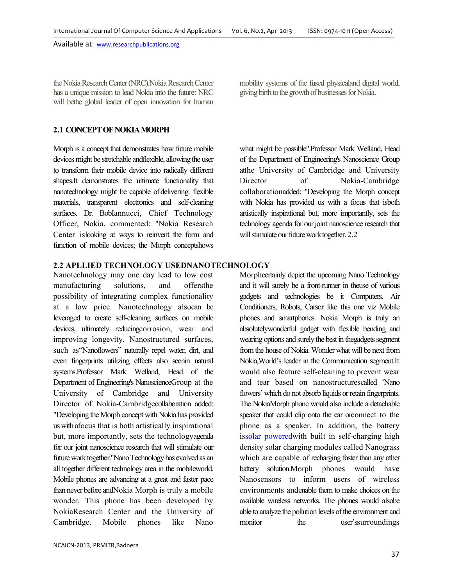the Nokia Research Center (NRC).Nokia Research Center has a unique mission to lead Nokia into the future: NRC will bethe global leader of open innovation for human mobility systems of the fused physicaland digital world, giving birth to the growth of businesses for Nokia.

what might be possible".Professor Mark Welland, Head of the Department of Engineering's Nanoscience Group atthe University of Cambridge and University

# **2.1 CONCEPT OF NOKIA MORPH**

Morph is a concept that demonstrates how future mobile devices might be stretchable andflexible, allowing the user to transform their mobile device into radically different shapes.It demonstrates the ultimate functionality that nanotechnology might be capable of delivering: flexible materials, transparent electronics and self-cleaning surfaces. Dr. BobIannucci, Chief Technology Officer, Nokia, commented: "Nokia Research Center islooking at ways to reinvent the form and function of mobile devices; the Morph conceptshows

Director of Nokia-Cambridge collaborationadded: "Developing the Morph concept with Nokia has provided us with a focus that isboth artistically inspirational but, more importantly, sets the technology agenda for our joint nanoscience research that will stimulate our future work together. 2.2

# **2.2 APLLIED TECHNOLOGY USEDNANOTECHNOLOGY**

Nanotechnology may one day lead to low cost manufacturing solutions, and offersthe possibility of integrating complex functionality at a low price. Nanotechnology alsocan be leveraged to create self-cleaning surfaces on mobile devices, ultimately reducingcorrosion, wear and improving longevity. Nanostructured surfaces, such as"Nanoflowers" naturally repel water, dirt, and even fingerprints utilizing effects also seenin natural systems.Professor Mark Welland, Head of the Department of Engineering's NanoscienceGroup at the University of Cambridge and University Director of Nokia-Cambridgecollaboration added: "Developing the Morph concept with Nokia has provided us with afocus that is both artistically inspirational but, more importantly, sets the technologyagenda for our joint nanoscience research that will stimulate our future work together."Nano Technology has evolved as an all together different technology area in the mobileworld. Mobile phones are advancing at a great and faster pace than never before andNokia Morph is truly a mobile wonder. This phone has been developed by NokiaResearch Center and the University of Cambridge. Mobile phones like Nano

Morphcertainly depict the upcoming Nano Technology and it will surely be a front-runner in theuse of various gadgets and technologies be it Computers, Air Conditioners, Robots, Carsor like this one viz Mobile phones and smartphones. Nokia Morph is truly an absolutelywonderful gadget with flexible bending and wearing options and surely the best in thegadgets segment from the house of Nokia. Wonder what will be next from Nokia,World's leader in the Communication segment.It would also feature self-cleaning to prevent wear and tear based on nanostructurescalled 'Nano flowers' which do not absorb liquids or retain fingerprints. The NokiaMorph phone would also include a detachable speaker that could clip onto the ear orconnect to the phone as a speaker. In addition, the battery issolar poweredwith built in self-charging high density solar charging modules called Nanograss which are capable of recharging faster than any other battery solution.Morph phones would have Nanosensors to inform users of wireless environments andenable them to make choices on the available wireless networks. The phones would alsobe able to analyze the pollution levels of the environment and monitor the user's surroundings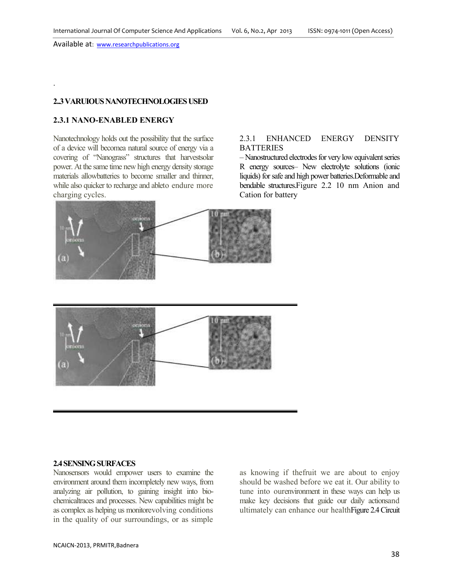## **2..3 VARUIOUS NANOTECHNOLOGIES USED**

# **2.3.1 NANO-ENABLED ENERGY**

.

Nanotechnology holds out the possibility that the surface of a device will becomea natural source of energy via a covering of "Nanograss" structures that harvestsolar power. At the same time new high energy density storage materials allowbatteries to become smaller and thinner, while also quicker to recharge and ableto endure more charging cycles.

#### 2.3.1 ENHANCED ENERGY DENSITY **BATTERIES**

– Nanostructured electrodes for very low equivalent series R energy sources– New electrolyte solutions (ionic liquids) for safe and high power batteries.Deformable and bendable structures.Figure 2.2 10 nm Anion and Cation for battery



# **2.4 SENSING SURFACES**

Nanosensors would empower users to examine the environment around them incompletely new ways, from analyzing air pollution, to gaining insight into biochemicaltraces and processes. New capabilities might be as complex as helping us monitorevolving conditions in the quality of our surroundings, or as simple

as knowing if thefruit we are about to enjoy should be washed before we eat it. Our ability to tune into ourenvironment in these ways can help us make key decisions that guide our daily actionsand ultimately can enhance our healthFigure 2.4 Circuit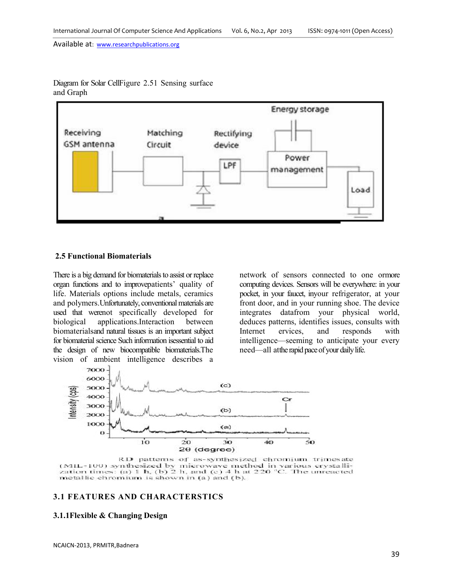

Diagram for Solar CellFigure 2.51 Sensing surface and Graph

#### **2.5 Functional Biomaterials**

There is a big demand for biomaterials to assist or replace organ functions and to improvepatients' quality of life. Materials options include metals, ceramics and polymers.Unfortunately, conventional materials are used that werenot specifically developed for biological applications.Interaction between biomaterialsand natural tissues is an important subject for biomaterial science Such information isessential to aid the design of new biocompatible biomaterials.The vision of ambient intelligence describes a

network of sensors connected to one ormore computing devices. Sensors will be everywhere: in your pocket, in your faucet, inyour refrigerator, at your front door, and in your running shoe. The device integrates datafrom your physical world, deduces patterns, identifies issues, consults with Internet ervices, and responds with intelligence—seeming to anticipate your every need—all atthe rapid pace of your daily life.



RD patterns of as-synthesized chromium trimesate (MIL-100) synthesized by microwave method in various crystallization times: (a) 1 h, (b) 2 h, and (c) 4 h at 220 °C. The unreacted metallic chromium is shown in (a) and (b).

# **3.1 FEATURES AND CHARACTERSTICS**

#### **3.1.1Flexible & Changing Design**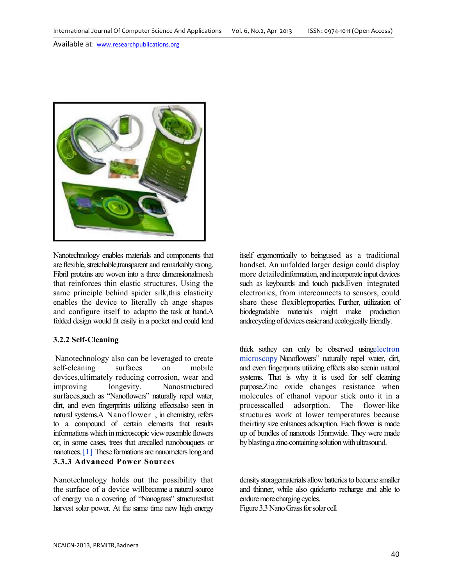

Nanotechnology enables materials and components that are flexible, stretchable,transparent and remarkably strong. Fibril proteins are woven into a three dimensionalmesh that reinforces thin elastic structures. Using the same principle behind spider silk,this elasticity enables the device to literally ch ange shapes and configure itself to adaptto the task at hand.A folded design would fit easily in a pocket and could lend

# **3.2.2 Self-Cleaning**

 Nanotechnology also can be leveraged to create self-cleaning surfaces on mobile devices,ultimately reducing corrosion, wear and improving longevity. Nanostructured surfaces,such as "Nanoflowers" naturally repel water, dirt, and even fingerprints utilizing effectsalso seen in natural systems.A Nanoflower , in chemistry, refers to a compound of certain elements that results informations which in microscopic view resemble flowers or, in some cases, trees that arecalled nanobouquets or nanotrees. [1] These formations are nanometers long and **3.3.3 Advanced Power Sources** 

Nanotechnology holds out the possibility that the surface of a device willbecome a natural source of energy via a covering of "Nanograss" structuresthat harvest solar power. At the same time new high energy

itself ergonomically to beingused as a traditional handset. An unfolded larger design could display more detailedinformation, and incorporate input devices such as keyboards and touch pads.Even integrated electronics, from interconnects to sensors, could share these flexibleproperties. Further, utilization of biodegradable materials might make production andrecycling of devices easier and ecologically friendly.

thick sothey can only be observed usingelectron microscopy Nanoflowers" naturally repel water, dirt, and even fingerprints utilizing effects also seenin natural systems. That is why it is used for self cleaning purpose.Zinc oxide changes resistance when molecules of ethanol vapour stick onto it in a processcalled adsorption. The flower-like structures work at lower temperatures because theirtiny size enhances adsorption. Each flower is made up of bundles of nanorods 15nmwide. They were made by blasting a zinc-containing solution with ultrasound.

density storagematerials allow batteries to become smaller and thinner, while also quickerto recharge and able to endure more charging cycles. Figure 3.3 Nano Grass for solar cell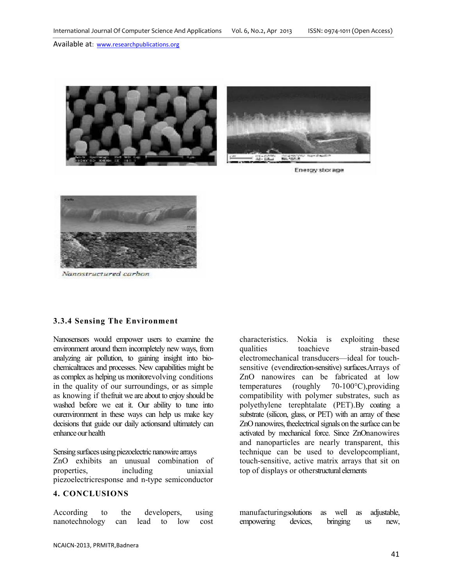



Energy storage



Nanostructured carbon

#### **3.3.4 Sensing The Environment**

Nanosensors would empower users to examine the environment around them incompletely new ways, from analyzing air pollution, to gaining insight into biochemicaltraces and processes. New capabilities might be as complex as helping us monitorevolving conditions in the quality of our surroundings, or as simple as knowing if thefruit we are about to enjoy should be washed before we eat it. Our ability to tune into ourenvironment in these ways can help us make key decisions that guide our daily actionsand ultimately can enhance our health

Sensing surfaces using piezoelectric nanowire arrays ZnO exhibits an unusual combination of properties, including uniaxial piezoelectricresponse and n-type semiconductor

# **4. CONCLUSIONS**

According to the developers, using nanotechnology can lead to low cost characteristics. Nokia is exploiting these qualities toachieve strain-based electromechanical transducers—ideal for touchsensitive (evendirection-sensitive) surfaces.Arrays of ZnO nanowires can be fabricated at low temperatures (roughly 70-100°C),providing compatibility with polymer substrates, such as polyethylene terephtalate (PET).By coating a substrate (silicon, glass, or PET) with an array of these ZnO nanowires, theelectrical signals on the surface can be activated by mechanical force. Since ZnOnanowires and nanoparticles are nearly transparent, this technique can be used to developcompliant, touch-sensitive, active matrix arrays that sit on top of displays or otherstructural elements

manufacturingsolutions as well as adjustable, empowering devices, bringing us new,